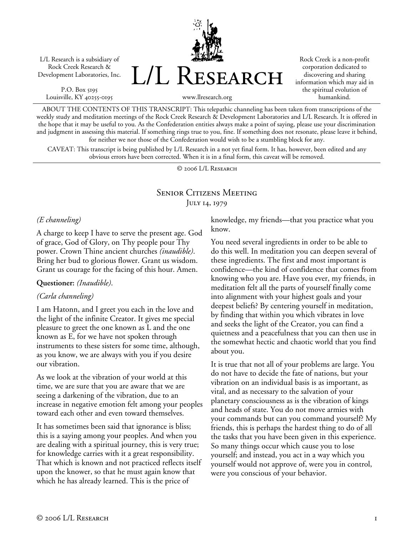L/L Research is a subsidiary of Rock Creek Research & Development Laboratories, Inc.

P.O. Box 5195 Louisville, KY 40255-0195 L/L Research

Rock Creek is a non-profit corporation dedicated to discovering and sharing information which may aid in the spiritual evolution of humankind.

www.llresearch.org

ABOUT THE CONTENTS OF THIS TRANSCRIPT: This telepathic channeling has been taken from transcriptions of the weekly study and meditation meetings of the Rock Creek Research & Development Laboratories and L/L Research. It is offered in the hope that it may be useful to you. As the Confederation entities always make a point of saying, please use your discrimination and judgment in assessing this material. If something rings true to you, fine. If something does not resonate, please leave it behind, for neither we nor those of the Confederation would wish to be a stumbling block for any.

CAVEAT: This transcript is being published by L/L Research in a not yet final form. It has, however, been edited and any obvious errors have been corrected. When it is in a final form, this caveat will be removed.

© 2006 L/L Research

# Senior Citizens Meeting JULY 14, 1979

### *(E channeling)*

A charge to keep I have to serve the present age. God of grace, God of Glory, on Thy people pour Thy power. Crown Thine ancient churches *(inaudible)*. Bring her bud to glorious flower. Grant us wisdom. Grant us courage for the facing of this hour. Amen.

#### **Questioner:** *(Inaudible)*.

### *(Carla channeling)*

I am Hatonn, and I greet you each in the love and the light of the infinite Creator. It gives me special pleasure to greet the one known as L and the one known as E, for we have not spoken through instruments to these sisters for some time, although, as you know, we are always with you if you desire our vibration.

As we look at the vibration of your world at this time, we are sure that you are aware that we are seeing a darkening of the vibration, due to an increase in negative emotion felt among your peoples toward each other and even toward themselves.

It has sometimes been said that ignorance is bliss; this is a saying among your peoples. And when you are dealing with a spiritual journey, this is very true; for knowledge carries with it a great responsibility. That which is known and not practiced reflects itself upon the knower, so that he must again know that which he has already learned. This is the price of

knowledge, my friends—that you practice what you know.

You need several ingredients in order to be able to do this well. In meditation you can deepen several of these ingredients. The first and most important is confidence—the kind of confidence that comes from knowing who you are. Have you ever, my friends, in meditation felt all the parts of yourself finally come into alignment with your highest goals and your deepest beliefs? By centering yourself in meditation, by finding that within you which vibrates in love and seeks the light of the Creator, you can find a quietness and a peacefulness that you can then use in the somewhat hectic and chaotic world that you find about you.

It is true that not all of your problems are large. You do not have to decide the fate of nations, but your vibration on an individual basis is as important, as vital, and as necessary to the salvation of your planetary consciousness as is the vibration of kings and heads of state. You do not move armies with your commands but can you command yourself? My friends, this is perhaps the hardest thing to do of all the tasks that you have been given in this experience. So many things occur which cause you to lose yourself; and instead, you act in a way which you yourself would not approve of, were you in control, were you conscious of your behavior.